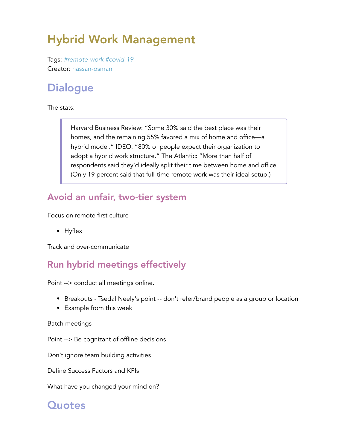# Hybrid Work Management

Tags: *#remote-work #covid-19* Creator: hassan-osman

# **Dialogue**

The stats:

Harvard Business Review: "Some 30% said the best place was their homes, and the remaining 55% favored a mix of home and office—a hybrid model." IDEO: "80% of people expect their organization to adopt a hybrid work structure." The Atlantic: "More than half of respondents said they'd ideally split their time between home and office (Only 19 percent said that full-time remote work was their ideal setup.)

#### Avoid an unfair, two-tier system

Focus on remote first culture

• Hyflex

Track and over-communicate

#### Run hybrid meetings effectively

Point --> conduct all meetings online.

- Breakouts Tsedal Neely's point -- don't refer/brand people as a group or location
- Example from this week

#### Batch meetings

Point --> Be cognizant of offline decisions

Don't ignore team building activities

Define Success Factors and KPIs

What have you changed your mind on?

### **Quotes**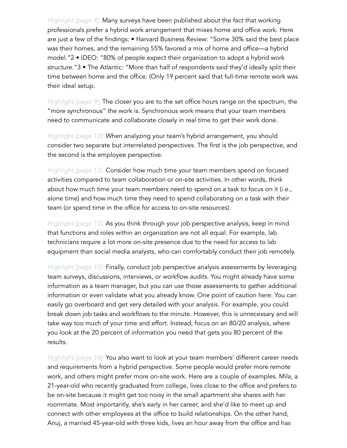*Highlight [page 4]:* Many surveys have been published about the fact that working professionals prefer a hybrid work arrangement that mixes home and office work. Here are just a few of the findings: • Harvard Business Review: "Some 30% said the best place was their homes, and the remaining 55% favored a mix of home and office—a hybrid model."2 • IDEO: "80% of people expect their organization to adopt a hybrid work structure."3 • The Atlantic: "More than half of respondents said they'd ideally split their time between home and the office. (Only 19 percent said that full-time remote work was their ideal setup.

*Highlight [page 9]:* The closer you are to the set office hours range on the spectrum, the "more synchronous" the work is. Synchronous work means that your team members need to communicate and collaborate closely in real time to get their work done.

*Highlight [page 12]:* When analyzing your team's hybrid arrangement, you should consider two separate but interrelated perspectives. The first is the job perspective, and the second is the employee perspective.

*Highlight [page 13]:* Consider how much time your team members spend on focused activities compared to team collaboration or on-site activities. In other words, think about how much time your team members need to spend on a task to focus on it (i.e., alone time) and how much time they need to spend collaborating on a task with their team (or spend time in the office for access to on-site resources).

*Highlight [page 13]:* As you think through your job perspective analysis, keep in mind that functions and roles within an organization are not all equal. For example, lab technicians require a lot more on-site presence due to the need for access to lab equipment than social media analysts, who can comfortably conduct their job remotely.

*Highlight [page 15]:* Finally, conduct job perspective analysis assessments by leveraging team surveys, discussions, interviews, or workflow audits. You might already have some information as a team manager, but you can use those assessments to gather additional information or even validate what you already know. One point of caution here: You can easily go overboard and get very detailed with your analysis. For example, you could break down job tasks and workflows to the minute. However, this is unnecessary and will take way too much of your time and effort. Instead, focus on an 80/20 analysis, where you look at the 20 percent of information you need that gets you 80 percent of the results.

*Highlight [page 16]:* You also want to look at your team members' different career needs and requirements from a hybrid perspective. Some people would prefer more remote work, and others might prefer more on-site work. Here are a couple of examples. Mila, a 21-year-old who recently graduated from college, lives close to the office and prefers to be on-site because it might get too noisy in the small apartment she shares with her roommate. Most importantly, she's early in her career, and she'd like to meet up and connect with other employees at the office to build relationships. On the other hand, Anuj, a married 45-year-old with three kids, lives an hour away from the office and has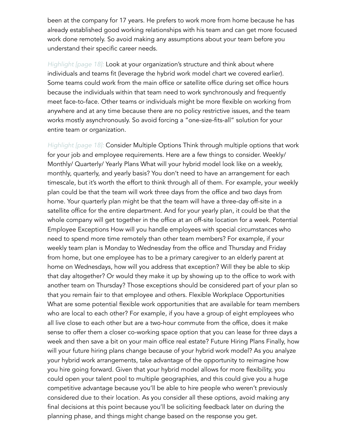been at the company for 17 years. He prefers to work more from home because he has already established good working relationships with his team and can get more focused work done remotely. So avoid making any assumptions about your team before you understand their specific career needs.

*Highlight [page 18]:* Look at your organization's structure and think about where individuals and teams fit (leverage the hybrid work model chart we covered earlier). Some teams could work from the main office or satellite office during set office hours because the individuals within that team need to work synchronously and frequently meet face-to-face. Other teams or individuals might be more flexible on working from anywhere and at any time because there are no policy restrictive issues, and the team works mostly asynchronously. So avoid forcing a "one-size-fits-all" solution for your entire team or organization.

*Highlight [page 18]:* Consider Multiple Options Think through multiple options that work for your job and employee requirements. Here are a few things to consider. Weekly/ Monthly/ Quarterly/ Yearly Plans What will your hybrid model look like on a weekly, monthly, quarterly, and yearly basis? You don't need to have an arrangement for each timescale, but it's worth the effort to think through all of them. For example, your weekly plan could be that the team will work three days from the office and two days from home. Your quarterly plan might be that the team will have a three-day off-site in a satellite office for the entire department. And for your yearly plan, it could be that the whole company will get together in the office at an off-site location for a week. Potential Employee Exceptions How will you handle employees with special circumstances who need to spend more time remotely than other team members? For example, if your weekly team plan is Monday to Wednesday from the office and Thursday and Friday from home, but one employee has to be a primary caregiver to an elderly parent at home on Wednesdays, how will you address that exception? Will they be able to skip that day altogether? Or would they make it up by showing up to the office to work with another team on Thursday? Those exceptions should be considered part of your plan so that you remain fair to that employee and others. Flexible Workplace Opportunities What are some potential flexible work opportunities that are available for team members who are local to each other? For example, if you have a group of eight employees who all live close to each other but are a two-hour commute from the office, does it make sense to offer them a closer co-working space option that you can lease for three days a week and then save a bit on your main office real estate? Future Hiring Plans Finally, how will your future hiring plans change because of your hybrid work model? As you analyze your hybrid work arrangements, take advantage of the opportunity to reimagine how you hire going forward. Given that your hybrid model allows for more flexibility, you could open your talent pool to multiple geographies, and this could give you a huge competitive advantage because you'll be able to hire people who weren't previously considered due to their location. As you consider all these options, avoid making any final decisions at this point because you'll be soliciting feedback later on during the planning phase, and things might change based on the response you get.